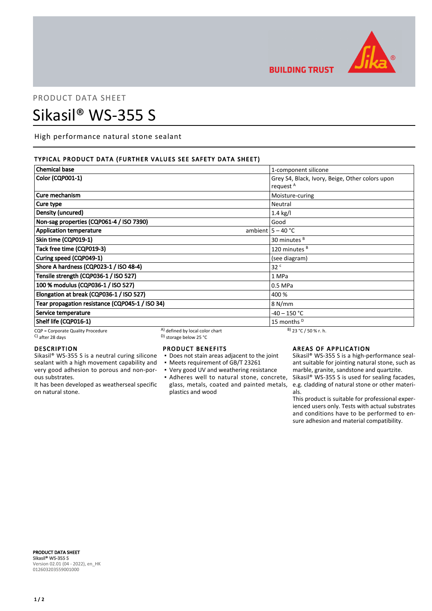

**BUILDING TRUST** 

# PRODUCT DATA SHEET Sikasil® WS-355 S

High performance natural stone sealant

# TYPICAL PRODUCT DATA (FURTHER VALUES SEE SAFETY DATA SHEET)

| <b>Chemical base</b>                                     |                                                                                | 1-component silicone                                                    |
|----------------------------------------------------------|--------------------------------------------------------------------------------|-------------------------------------------------------------------------|
| <b>Color (CQP001-1)</b>                                  |                                                                                | Grey S4, Black, Ivory, Beige, Other colors upon<br>request <sup>A</sup> |
| Cure mechanism                                           |                                                                                | Moisture-curing                                                         |
| Cure type                                                |                                                                                | Neutral                                                                 |
| Density (uncured)                                        |                                                                                | $1.4$ kg/l                                                              |
| Non-sag properties (CQP061-4 / ISO 7390)                 |                                                                                | Good                                                                    |
| <b>Application temperature</b>                           |                                                                                | ambient $5 - 40$ °C                                                     |
| Skin time (CQP019-1)                                     |                                                                                | 30 minutes <sup>B</sup>                                                 |
| Tack free time (CQP019-3)                                |                                                                                | 120 minutes <sup>B</sup>                                                |
| Curing speed (CQP049-1)                                  |                                                                                | (see diagram)                                                           |
| Shore A hardness (CQP023-1 / ISO 48-4)                   |                                                                                | 32 <sup>c</sup>                                                         |
| Tensile strength (CQP036-1 / ISO 527)                    |                                                                                | 1 MPa                                                                   |
| 100 % modulus (CQP036-1 / ISO 527)                       |                                                                                | 0.5 MPa                                                                 |
| Elongation at break (CQP036-1 / ISO 527)                 |                                                                                | 400 %                                                                   |
| Tear propagation resistance (CQP045-1 / ISO 34)          |                                                                                | 8 N/mm                                                                  |
| Service temperature                                      |                                                                                | $-40 - 150$ °C                                                          |
| Shelf life (CQP016-1)                                    |                                                                                | 15 months <sup>D</sup>                                                  |
| CQP = Corporate Quality Procedure<br>$C$ ) after 28 days | A) defined by local color chart<br><sup>D)</sup> storage below 25 $^{\circ}$ C | $B)$ 23 °C / 50 % r. h.                                                 |

# DESCRIPTION

Sikasil® WS-355 S is a neutral curing silicone sealant with a high movement capability and very good adhesion to porous and non-porous substrates.

It has been developed as weatherseal specific on natural stone.

#### PRODUCT BENEFITS

- Does not stain areas adjacent to the joint
- Meets requirement of GB/T 23261
- Very good UV and weathering resistance
- Adheres well to natural stone, concrete, Sikasil® WS-355 S is used for sealing facades, plastics and wood

# AREAS OF APPLICATION

Sikasil® WS-355 S is a high-performance sealant suitable for jointing natural stone, such as marble, granite, sandstone and quartzite.

glass, metals, coated and painted metals, e.g. cladding of natural stone or other materials.

> This product is suitable for professional experienced users only. Tests with actual substrates and conditions have to be performed to ensure adhesion and material compatibility.